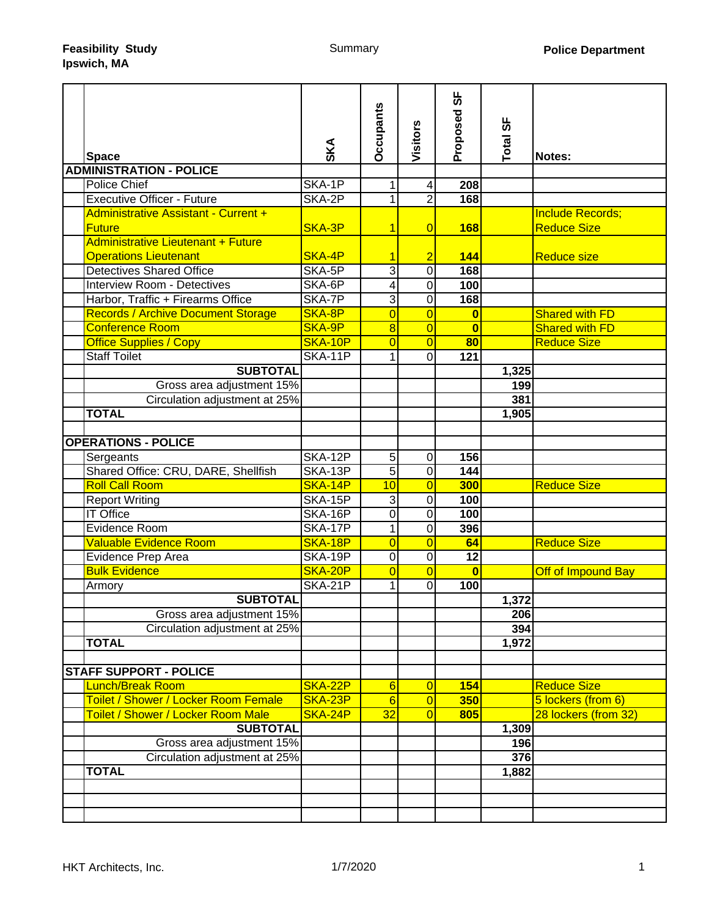| <b>Space</b>                                                                                       | SKA            | <b>Occupants</b> | Visitors         | სნ<br>Proposed          | Total SF     | Notes:                                        |
|----------------------------------------------------------------------------------------------------|----------------|------------------|------------------|-------------------------|--------------|-----------------------------------------------|
| <b>ADMINISTRATION - POLICE</b>                                                                     |                |                  |                  |                         |              |                                               |
| <b>Police Chief</b>                                                                                | SKA-1P         | 1                | 4                | 208                     |              |                                               |
| <b>Executive Officer - Future</b>                                                                  | SKA-2P         | 1                | $\overline{2}$   | 168                     |              |                                               |
| Administrative Assistant - Current +<br><b>Future</b><br><b>Administrative Lieutenant + Future</b> | SKA-3P         | 1                | $\overline{0}$   | <b>168</b>              |              | <b>Include Records;</b><br><b>Reduce Size</b> |
| <b>Operations Lieutenant</b>                                                                       | SKA-4P         | 1                | $\overline{2}$   | 144                     |              | <b>Reduce size</b>                            |
| <b>Detectives Shared Office</b>                                                                    | SKA-5P         | 3                | $\mathbf 0$      | 168                     |              |                                               |
| <b>Interview Room - Detectives</b>                                                                 | SKA-6P         | 4                | $\mathbf 0$      | 100                     |              |                                               |
| Harbor, Traffic + Firearms Office                                                                  | SKA-7P         | 3                | $\overline{0}$   | 168                     |              |                                               |
| <b>Records / Archive Document Storage</b>                                                          | SKA-8P         | $\overline{0}$   | $\overline{0}$   | $\overline{\mathbf{0}}$ |              | <b>Shared with FD</b>                         |
| <b>Conference Room</b>                                                                             | SKA-9P         | 8                | $\overline{0}$   | $\bf{0}$                |              | <b>Shared with FD</b>                         |
| <b>Office Supplies / Copy</b>                                                                      | SKA-10P        | $\overline{0}$   | $\overline{0}$   | 80                      |              | <b>Reduce Size</b>                            |
| <b>Staff Toilet</b>                                                                                | SKA-11P        | 1                | $\Omega$         | 121                     |              |                                               |
| <b>SUBTOTAL</b>                                                                                    |                |                  |                  |                         | 1,325        |                                               |
| Gross area adjustment 15%                                                                          |                |                  |                  |                         | 199          |                                               |
| Circulation adjustment at 25%                                                                      |                |                  |                  |                         | 381          |                                               |
| <b>TOTAL</b>                                                                                       |                |                  |                  |                         | 1,905        |                                               |
|                                                                                                    |                |                  |                  |                         |              |                                               |
| <b>OPERATIONS - POLICE</b>                                                                         |                |                  |                  |                         |              |                                               |
| Sergeants                                                                                          | SKA-12P        | $\overline{5}$   | $\mathbf 0$      | 156                     |              |                                               |
| Shared Office: CRU, DARE, Shellfish                                                                | SKA-13P        | $\overline{5}$   | $\overline{0}$   | 144                     |              |                                               |
| <b>Roll Call Room</b>                                                                              | <b>SKA-14P</b> | 10               | $\overline{0}$   | 300                     |              | <b>Reduce Size</b>                            |
| <b>Report Writing</b>                                                                              | SKA-15P        | 3                | $\boldsymbol{0}$ | 100                     |              |                                               |
| <b>IT Office</b>                                                                                   | SKA-16P        | 0                | 0                | 100                     |              |                                               |
| Evidence Room                                                                                      | <b>SKA-17P</b> | $\mathbf{1}$     | 0                | 396                     |              |                                               |
| <b>Valuable Evidence Room</b>                                                                      | SKA-18P        | $\overline{0}$   | $\overline{0}$   | 64                      |              | <b>Reduce Size</b>                            |
| Evidence Prep Area                                                                                 | <b>SKA-19P</b> | 0                | $\overline{0}$   | $\overline{12}$         |              |                                               |
| <b>Bulk Evidence</b>                                                                               | SKA-20P        | $\overline{0}$   | $\overline{0}$   | $\bf{0}$                |              | Off of Impound Bay                            |
| Armory                                                                                             | SKA-21P        | 1                | $\overline{0}$   | 100                     |              |                                               |
| <b>SUBTOTAL</b>                                                                                    |                |                  |                  |                         | 1,372        |                                               |
| Gross area adjustment 15%                                                                          |                |                  |                  |                         | 206          |                                               |
| Circulation adjustment at 25%<br><b>TOTAL</b>                                                      |                |                  |                  |                         | 394<br>1,972 |                                               |
|                                                                                                    |                |                  |                  |                         |              |                                               |
| <b>STAFF SUPPORT - POLICE</b>                                                                      |                |                  |                  |                         |              |                                               |
| <b>Lunch/Break Room</b>                                                                            | SKA-22P        | 6                | $\overline{0}$   | 154                     |              | <b>Reduce Size</b>                            |
| Toilet / Shower / Locker Room Female                                                               | SKA-23P        | $6\phantom{1}6$  | $\overline{0}$   | 350                     |              | 5 lockers (from 6)                            |
| Toilet / Shower / Locker Room Male                                                                 | SKA-24P        | 32               | $\overline{0}$   | 805                     |              | 28 lockers (from 32)                          |
| <b>SUBTOTAL</b>                                                                                    |                |                  |                  |                         | 1,309        |                                               |
| Gross area adjustment 15%                                                                          |                |                  |                  |                         | 196          |                                               |
| Circulation adjustment at 25%                                                                      |                |                  |                  |                         | 376          |                                               |
| <b>TOTAL</b>                                                                                       |                |                  |                  |                         | 1,882        |                                               |
|                                                                                                    |                |                  |                  |                         |              |                                               |
|                                                                                                    |                |                  |                  |                         |              |                                               |
|                                                                                                    |                |                  |                  |                         |              |                                               |
|                                                                                                    |                |                  |                  |                         |              |                                               |